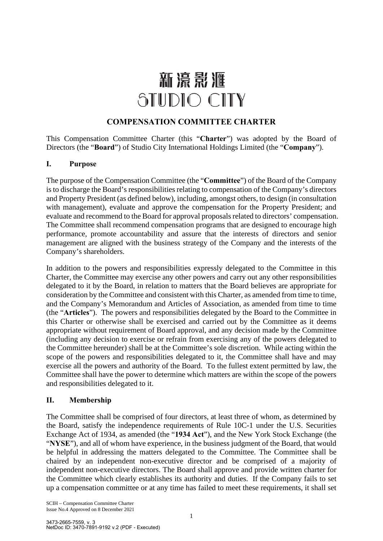# 新濠影滙 STUDIO CITY

# **COMPENSATION COMMITTEE CHARTER**

This Compensation Committee Charter (this "**Charter**") was adopted by the Board of Directors (the "**Board**") of Studio City International Holdings Limited (the "**Company**").

### **I. Purpose**

The purpose of the Compensation Committee (the "**Committee**") of the Board of the Company is to discharge the Board's responsibilities relating to compensation of the Company's directors and Property President (as defined below), including, amongst others, to design (in consultation with management), evaluate and approve the compensation for the Property President; and evaluate and recommend to the Board for approval proposals related to directors' compensation. The Committee shall recommend compensation programs that are designed to encourage high performance, promote accountability and assure that the interests of directors and senior management are aligned with the business strategy of the Company and the interests of the Company's shareholders.

In addition to the powers and responsibilities expressly delegated to the Committee in this Charter, the Committee may exercise any other powers and carry out any other responsibilities delegated to it by the Board, in relation to matters that the Board believes are appropriate for consideration by the Committee and consistent with this Charter, as amended from time to time, and the Company's Memorandum and Articles of Association, as amended from time to time (the "**Articles**"). The powers and responsibilities delegated by the Board to the Committee in this Charter or otherwise shall be exercised and carried out by the Committee as it deems appropriate without requirement of Board approval, and any decision made by the Committee (including any decision to exercise or refrain from exercising any of the powers delegated to the Committee hereunder) shall be at the Committee's sole discretion. While acting within the scope of the powers and responsibilities delegated to it, the Committee shall have and may exercise all the powers and authority of the Board. To the fullest extent permitted by law, the Committee shall have the power to determine which matters are within the scope of the powers and responsibilities delegated to it.

# **II. Membership**

The Committee shall be comprised of four directors, at least three of whom, as determined by the Board, satisfy the independence requirements of Rule 10C-1 under the U.S. Securities Exchange Act of 1934, as amended (the "**1934 Act**"), and the New York Stock Exchange (the "**NYSE**"), and all of whom have experience, in the business judgment of the Board, that would be helpful in addressing the matters delegated to the Committee. The Committee shall be chaired by an independent non-executive director and be comprised of a majority of independent non-executive directors. The Board shall approve and provide written charter for the Committee which clearly establishes its authority and duties. If the Company fails to set up a compensation committee or at any time has failed to meet these requirements, it shall set

SCIH – Compensation Committee Charter Issue No.4 Approved on 8 December 2021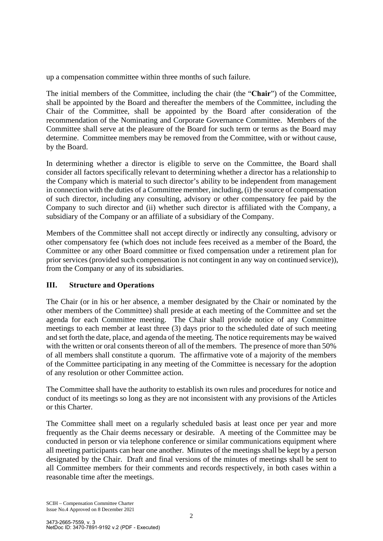up a compensation committee within three months of such failure.

The initial members of the Committee, including the chair (the "**Chair**") of the Committee, shall be appointed by the Board and thereafter the members of the Committee, including the Chair of the Committee, shall be appointed by the Board after consideration of the recommendation of the Nominating and Corporate Governance Committee. Members of the Committee shall serve at the pleasure of the Board for such term or terms as the Board may determine. Committee members may be removed from the Committee, with or without cause, by the Board.

In determining whether a director is eligible to serve on the Committee, the Board shall consider all factors specifically relevant to determining whether a director has a relationship to the Company which is material to such director's ability to be independent from management in connection with the duties of a Committee member, including, (i) the source of compensation of such director, including any consulting, advisory or other compensatory fee paid by the Company to such director and (ii) whether such director is affiliated with the Company, a subsidiary of the Company or an affiliate of a subsidiary of the Company.

Members of the Committee shall not accept directly or indirectly any consulting, advisory or other compensatory fee (which does not include fees received as a member of the Board, the Committee or any other Board committee or fixed compensation under a retirement plan for prior services (provided such compensation is not contingent in any way on continued service)), from the Company or any of its subsidiaries.

# **III. Structure and Operations**

The Chair (or in his or her absence, a member designated by the Chair or nominated by the other members of the Committee) shall preside at each meeting of the Committee and set the agenda for each Committee meeting. The Chair shall provide notice of any Committee meetings to each member at least three (3) days prior to the scheduled date of such meeting and set forth the date, place, and agenda of the meeting. The notice requirements may be waived with the written or oral consents thereon of all of the members. The presence of more than 50% of all members shall constitute a quorum. The affirmative vote of a majority of the members of the Committee participating in any meeting of the Committee is necessary for the adoption of any resolution or other Committee action.

The Committee shall have the authority to establish its own rules and procedures for notice and conduct of its meetings so long as they are not inconsistent with any provisions of the Articles or this Charter.

The Committee shall meet on a regularly scheduled basis at least once per year and more frequently as the Chair deems necessary or desirable. A meeting of the Committee may be conducted in person or via telephone conference or similar communications equipment where all meeting participants can hear one another. Minutes of the meetings shall be kept by a person designated by the Chair. Draft and final versions of the minutes of meetings shall be sent to all Committee members for their comments and records respectively, in both cases within a reasonable time after the meetings.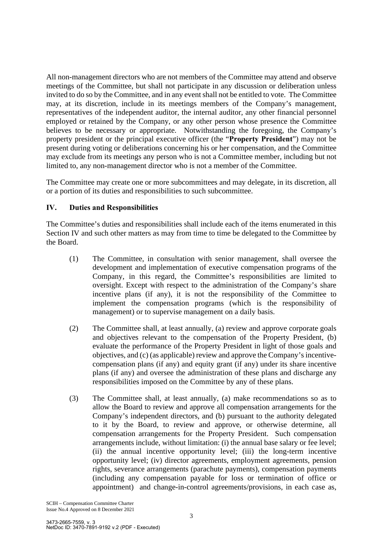All non-management directors who are not members of the Committee may attend and observe meetings of the Committee, but shall not participate in any discussion or deliberation unless invited to do so by the Committee, and in any event shall not be entitled to vote. The Committee may, at its discretion, include in its meetings members of the Company's management, representatives of the independent auditor, the internal auditor, any other financial personnel employed or retained by the Company, or any other person whose presence the Committee believes to be necessary or appropriate. Notwithstanding the foregoing, the Company's property president or the principal executive officer (the "**Property President**") may not be present during voting or deliberations concerning his or her compensation, and the Committee may exclude from its meetings any person who is not a Committee member, including but not limited to, any non-management director who is not a member of the Committee.

The Committee may create one or more subcommittees and may delegate, in its discretion, all or a portion of its duties and responsibilities to such subcommittee.

### **IV. Duties and Responsibilities**

The Committee's duties and responsibilities shall include each of the items enumerated in this Section IV and such other matters as may from time to time be delegated to the Committee by the Board.

- (1) The Committee, in consultation with senior management, shall oversee the development and implementation of executive compensation programs of the Company, in this regard, the Committee's responsibilities are limited to oversight. Except with respect to the administration of the Company's share incentive plans (if any), it is not the responsibility of the Committee to implement the compensation programs (which is the responsibility of management) or to supervise management on a daily basis.
- (2) The Committee shall, at least annually, (a) review and approve corporate goals and objectives relevant to the compensation of the Property President, (b) evaluate the performance of the Property President in light of those goals and objectives, and (c) (as applicable) review and approve the Company's incentivecompensation plans (if any) and equity grant (if any) under its share incentive plans (if any) and oversee the administration of these plans and discharge any responsibilities imposed on the Committee by any of these plans.
- (3) The Committee shall, at least annually, (a) make recommendations so as to allow the Board to review and approve all compensation arrangements for the Company's independent directors, and (b) pursuant to the authority delegated to it by the Board, to review and approve, or otherwise determine, all compensation arrangements for the Property President. Such compensation arrangements include, without limitation: (i) the annual base salary or fee level; (ii) the annual incentive opportunity level; (iii) the long-term incentive opportunity level; (iv) director agreements, employment agreements, pension rights, severance arrangements (parachute payments), compensation payments (including any compensation payable for loss or termination of office or appointment) and change-in-control agreements/provisions, in each case as,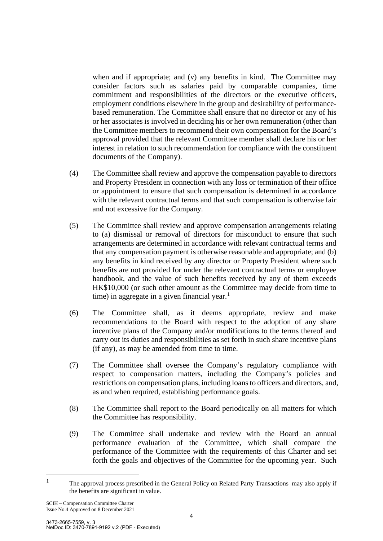when and if appropriate; and (v) any benefits in kind. The Committee may consider factors such as salaries paid by comparable companies, time commitment and responsibilities of the directors or the executive officers, employment conditions elsewhere in the group and desirability of performancebased remuneration. The Committee shall ensure that no director or any of his or her associates is involved in deciding his or her own remuneration (other than the Committee members to recommend their own compensation for the Board's approval provided that the relevant Committee member shall declare his or her interest in relation to such recommendation for compliance with the constituent documents of the Company).

- (4) The Committee shall review and approve the compensation payable to directors and Property President in connection with any loss or termination of their office or appointment to ensure that such compensation is determined in accordance with the relevant contractual terms and that such compensation is otherwise fair and not excessive for the Company.
- (5) The Committee shall review and approve compensation arrangements relating to (a) dismissal or removal of directors for misconduct to ensure that such arrangements are determined in accordance with relevant contractual terms and that any compensation payment is otherwise reasonable and appropriate; and (b) any benefits in kind received by any director or Property President where such benefits are not provided for under the relevant contractual terms or employee handbook, and the value of such benefits received by any of them exceeds HK\$10,000 (or such other amount as the Committee may decide from time to time) in aggregate in a given financial year. $<sup>1</sup>$  $<sup>1</sup>$  $<sup>1</sup>$ </sup>
- (6) The Committee shall, as it deems appropriate, review and make recommendations to the Board with respect to the adoption of any share incentive plans of the Company and/or modifications to the terms thereof and carry out its duties and responsibilities as set forth in such share incentive plans (if any), as may be amended from time to time.
- (7) The Committee shall oversee the Company's regulatory compliance with respect to compensation matters, including the Company's policies and restrictions on compensation plans, including loans to officers and directors, and, as and when required, establishing performance goals.
- (8) The Committee shall report to the Board periodically on all matters for which the Committee has responsibility.
- (9) The Committee shall undertake and review with the Board an annual performance evaluation of the Committee, which shall compare the performance of the Committee with the requirements of this Charter and set forth the goals and objectives of the Committee for the upcoming year. Such

<span id="page-3-0"></span><sup>1</sup> The approval process prescribed in the General Policy on Related Party Transactions may also apply if the benefits are significant in value.

SCIH – Compensation Committee Charter Issue No.4 Approved on 8 December 2021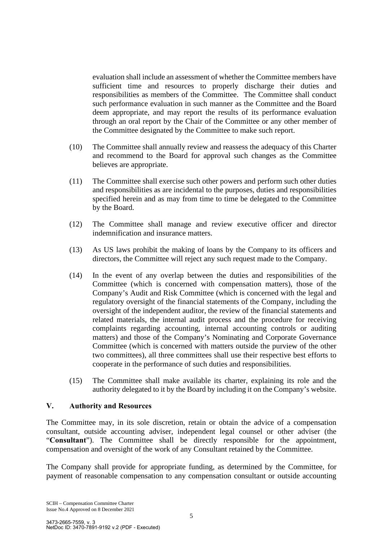evaluation shall include an assessment of whether the Committee members have sufficient time and resources to properly discharge their duties and responsibilities as members of the Committee. The Committee shall conduct such performance evaluation in such manner as the Committee and the Board deem appropriate, and may report the results of its performance evaluation through an oral report by the Chair of the Committee or any other member of the Committee designated by the Committee to make such report.

- (10) The Committee shall annually review and reassess the adequacy of this Charter and recommend to the Board for approval such changes as the Committee believes are appropriate.
- (11) The Committee shall exercise such other powers and perform such other duties and responsibilities as are incidental to the purposes, duties and responsibilities specified herein and as may from time to time be delegated to the Committee by the Board.
- (12) The Committee shall manage and review executive officer and director indemnification and insurance matters.
- (13) As US laws prohibit the making of loans by the Company to its officers and directors, the Committee will reject any such request made to the Company.
- (14) In the event of any overlap between the duties and responsibilities of the Committee (which is concerned with compensation matters), those of the Company's Audit and Risk Committee (which is concerned with the legal and regulatory oversight of the financial statements of the Company, including the oversight of the independent auditor, the review of the financial statements and related materials, the internal audit process and the procedure for receiving complaints regarding accounting, internal accounting controls or auditing matters) and those of the Company's Nominating and Corporate Governance Committee (which is concerned with matters outside the purview of the other two committees), all three committees shall use their respective best efforts to cooperate in the performance of such duties and responsibilities.
- (15) The Committee shall make available its charter, explaining its role and the authority delegated to it by the Board by including it on the Company's website.

#### **V. Authority and Resources**

The Committee may, in its sole discretion, retain or obtain the advice of a compensation consultant, outside accounting adviser, independent legal counsel or other adviser (the "**Consultant**"). The Committee shall be directly responsible for the appointment, compensation and oversight of the work of any Consultant retained by the Committee.

The Company shall provide for appropriate funding, as determined by the Committee, for payment of reasonable compensation to any compensation consultant or outside accounting

SCIH – Compensation Committee Charter Issue No.4 Approved on 8 December 2021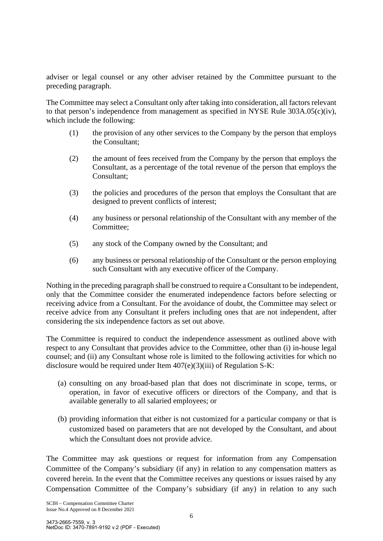adviser or legal counsel or any other adviser retained by the Committee pursuant to the preceding paragraph.

The Committee may select a Consultant only after taking into consideration, all factors relevant to that person's independence from management as specified in NYSE Rule 303A.05(c)(iv), which include the following:

- (1) the provision of any other services to the Company by the person that employs the Consultant;
- (2) the amount of fees received from the Company by the person that employs the Consultant, as a percentage of the total revenue of the person that employs the Consultant;
- (3) the policies and procedures of the person that employs the Consultant that are designed to prevent conflicts of interest;
- (4) any business or personal relationship of the Consultant with any member of the Committee;
- (5) any stock of the Company owned by the Consultant; and
- (6) any business or personal relationship of the Consultant or the person employing such Consultant with any executive officer of the Company.

Nothing in the preceding paragraph shall be construed to require a Consultant to be independent, only that the Committee consider the enumerated independence factors before selecting or receiving advice from a Consultant. For the avoidance of doubt, the Committee may select or receive advice from any Consultant it prefers including ones that are not independent, after considering the six independence factors as set out above.

The Committee is required to conduct the independence assessment as outlined above with respect to any Consultant that provides advice to the Committee, other than (i) in-house legal counsel; and (ii) any Consultant whose role is limited to the following activities for which no disclosure would be required under Item 407(e)(3)(iii) of Regulation S-K:

- (a) consulting on any broad-based plan that does not discriminate in scope, terms, or operation, in favor of executive officers or directors of the Company, and that is available generally to all salaried employees; or
- (b) providing information that either is not customized for a particular company or that is customized based on parameters that are not developed by the Consultant, and about which the Consultant does not provide advice.

The Committee may ask questions or request for information from any Compensation Committee of the Company's subsidiary (if any) in relation to any compensation matters as covered herein. In the event that the Committee receives any questions or issues raised by any Compensation Committee of the Company's subsidiary (if any) in relation to any such